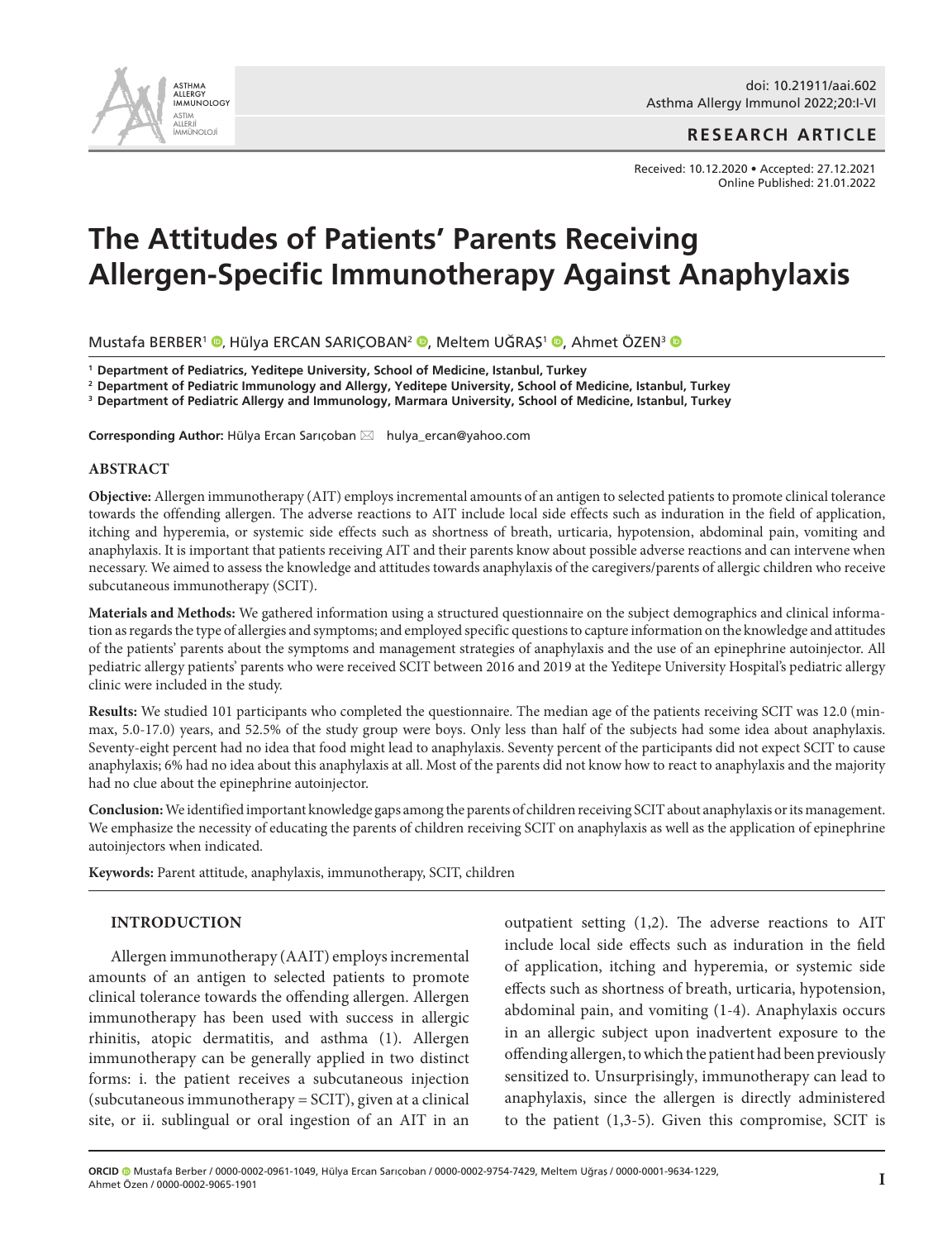

## **RESEARCH ARTICLE**

Received: 10.12.2020 • Accepted: 27.12.2021 Online Published: 21.01.2022

# **The Attitudes of Patients' Parents Receiving Allergen-Specific Immunotherapy Against Anaphylaxis**

Mustafa BERBER<sup>1</sup> <sup>®</sup>[,](http://orcid.org/0000-0001-9634-1229) Hülya ERCAN SARIÇOBAN<sup>2</sup> ®, Meltem UĞRAŞ<sup>1</sup> ®, Ahmet ÖZEN<sup>3</sup> ®

**<sup>1</sup> Department of Pediatrics, Yeditepe University, School of Medicine, Istanbul, Turkey**

**<sup>2</sup> Department of Pediatric Immunology and Allergy, Yeditepe University, School of Medicine, Istanbul, Turkey**

**<sup>3</sup> Department of Pediatric Allergy and Immunology, Marmara University, School of Medicine, Istanbul, Turkey**

Corresponding Author: Hülya Ercan Sarıçoban ⊠ hulya\_ercan@yahoo.com

### **ABSTRACT**

**Objective:** Allergen immunotherapy (AIT) employs incremental amounts of an antigen to selected patients to promote clinical tolerance towards the offending allergen. The adverse reactions to AIT include local side effects such as induration in the field of application, itching and hyperemia, or systemic side effects such as shortness of breath, urticaria, hypotension, abdominal pain, vomiting and anaphylaxis. It is important that patients receiving AIT and their parents know about possible adverse reactions and can intervene when necessary. We aimed to assess the knowledge and attitudes towards anaphylaxis of the caregivers/parents of allergic children who receive subcutaneous immunotherapy (SCIT).

**Materials and Methods:** We gathered information using a structured questionnaire on the subject demographics and clinical information as regards the type of allergies and symptoms; and employed specific questions to capture information on the knowledge and attitudes of the patients' parents about the symptoms and management strategies of anaphylaxis and the use of an epinephrine autoinjector. All pediatric allergy patients' parents who were received SCIT between 2016 and 2019 at the Yeditepe University Hospital's pediatric allergy clinic were included in the study.

**Results:** We studied 101 participants who completed the questionnaire. The median age of the patients receiving SCIT was 12.0 (minmax, 5.0-17.0) years, and 52.5% of the study group were boys. Only less than half of the subjects had some idea about anaphylaxis. Seventy-eight percent had no idea that food might lead to anaphylaxis. Seventy percent of the participants did not expect SCIT to cause anaphylaxis; 6% had no idea about this anaphylaxis at all. Most of the parents did not know how to react to anaphylaxis and the majority had no clue about the epinephrine autoinjector.

**Conclusion:** We identified important knowledge gaps among the parents of children receiving SCIT about anaphylaxis or its management. We emphasize the necessity of educating the parents of children receiving SCIT on anaphylaxis as well as the application of epinephrine autoinjectors when indicated.

**Keywords:** Parent attitude, anaphylaxis, immunotherapy, SCIT, children

#### **INTRODUCTION**

Allergen immunotherapy (AAIT) employs incremental amounts of an antigen to selected patients to promote clinical tolerance towards the offending allergen. Allergen immunotherapy has been used with success in allergic rhinitis, atopic dermatitis, and asthma (1). Allergen immunotherapy can be generally applied in two distinct forms: i. the patient receives a subcutaneous injection (subcutaneous immunotherapy = SCIT), given at a clinical site, or ii. sublingual or oral ingestion of an AIT in an outpatient setting (1,2). The adverse reactions to AIT include local side effects such as induration in the field of application, itching and hyperemia, or systemic side effects such as shortness of breath, urticaria, hypotension, abdominal pain, and vomiting (1-4). Anaphylaxis occurs in an allergic subject upon inadvertent exposure to the offending allergen, to which the patient had been previously sensitized to. Unsurprisingly, immunotherapy can lead to anaphylaxis, since the allergen is directly administered to the patient (1,3-5). Given this compromise, SCIT is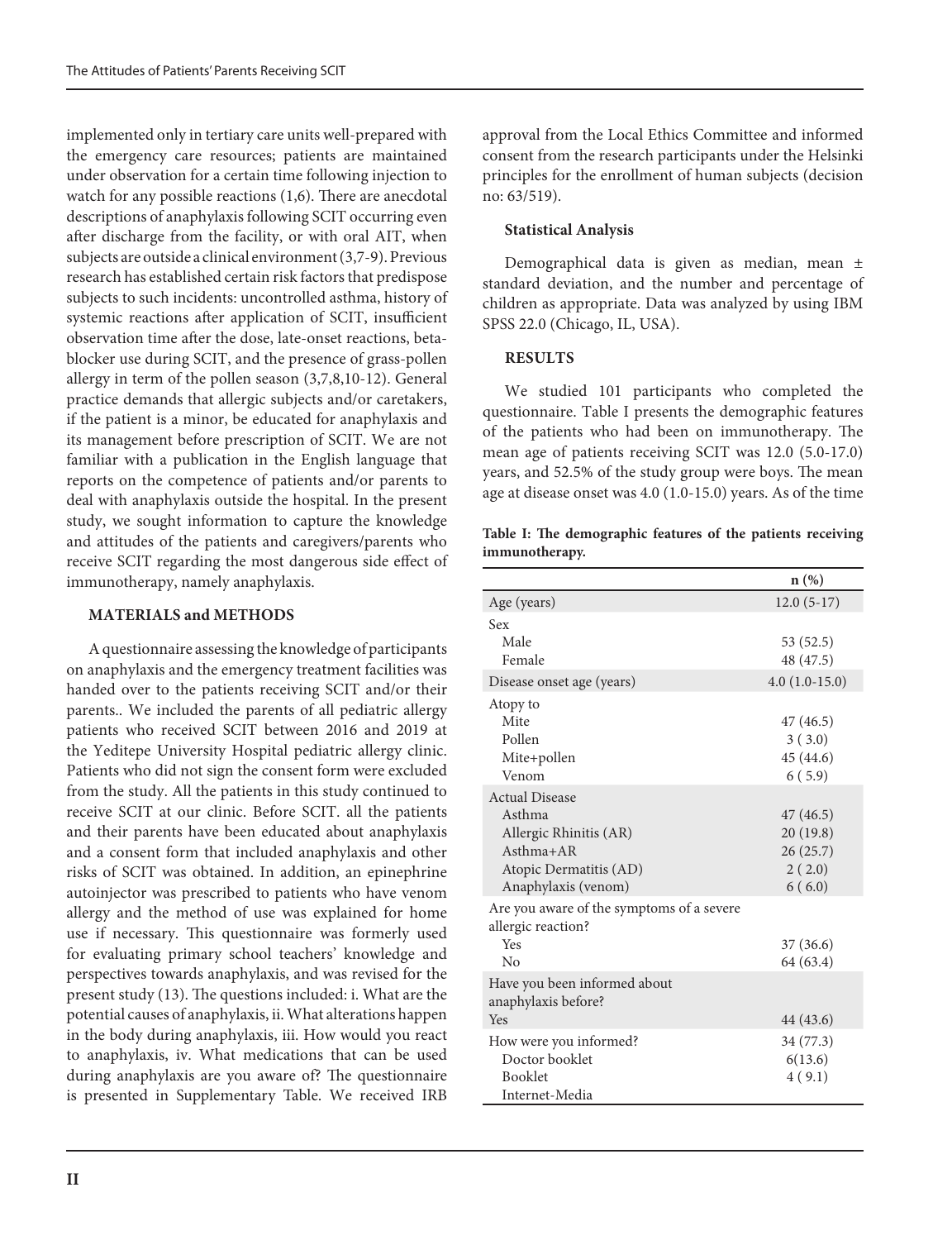implemented only in tertiary care units well-prepared with the emergency care resources; patients are maintained under observation for a certain time following injection to watch for any possible reactions (1,6). There are anecdotal descriptions of anaphylaxis following SCIT occurring even after discharge from the facility, or with oral AIT, when subjects are outside a clinical environment (3,7-9). Previous research has established certain risk factors that predispose subjects to such incidents: uncontrolled asthma, history of systemic reactions after application of SCIT, insufficient observation time after the dose, late-onset reactions, betablocker use during SCIT, and the presence of grass-pollen allergy in term of the pollen season (3,7,8,10-12). General practice demands that allergic subjects and/or caretakers, if the patient is a minor, be educated for anaphylaxis and its management before prescription of SCIT. We are not familiar with a publication in the English language that reports on the competence of patients and/or parents to deal with anaphylaxis outside the hospital. In the present study, we sought information to capture the knowledge and attitudes of the patients and caregivers/parents who receive SCIT regarding the most dangerous side effect of immunotherapy, namely anaphylaxis.

#### **MATERIALS and METHODS**

A questionnaire assessing the knowledge of participants on anaphylaxis and the emergency treatment facilities was handed over to the patients receiving SCIT and/or their parents.. We included the parents of all pediatric allergy patients who received SCIT between 2016 and 2019 at the Yeditepe University Hospital pediatric allergy clinic. Patients who did not sign the consent form were excluded from the study. All the patients in this study continued to receive SCIT at our clinic. Before SCIT. all the patients and their parents have been educated about anaphylaxis and a consent form that included anaphylaxis and other risks of SCIT was obtained. In addition, an epinephrine autoinjector was prescribed to patients who have venom allergy and the method of use was explained for home use if necessary. This questionnaire was formerly used for evaluating primary school teachers' knowledge and perspectives towards anaphylaxis, and was revised for the present study (13). The questions included: i. What are the potential causes of anaphylaxis, ii. What alterations happen in the body during anaphylaxis, iii. How would you react to anaphylaxis, iv. What medications that can be used during anaphylaxis are you aware of? The questionnaire is presented in Supplementary Table. We received IRB

approval from the Local Ethics Committee and informed consent from the research participants under the Helsinki principles for the enrollment of human subjects (decision no: 63/519).

### **Statistical Analysis**

Demographical data is given as median, mean ± standard deviation, and the number and percentage of children as appropriate. Data was analyzed by using IBM SPSS 22.0 (Chicago, IL, USA).

### **RESULTS**

We studied 101 participants who completed the questionnaire. Table I presents the demographic features of the patients who had been on immunotherapy. The mean age of patients receiving SCIT was 12.0 (5.0-17.0) years, and 52.5% of the study group were boys. The mean age at disease onset was 4.0 (1.0-15.0) years. As of the time

**Table I: The demographic features of the patients receiving immunotherapy.**

|                                                                 | $n(\%)$         |
|-----------------------------------------------------------------|-----------------|
| Age (years)                                                     | $12.0(5-17)$    |
| Sex                                                             |                 |
| Male                                                            | 53 (52.5)       |
| Female                                                          | 48 (47.5)       |
| Disease onset age (years)                                       | $4.0(1.0-15.0)$ |
| Atopy to                                                        |                 |
| Mite                                                            | 47 (46.5)       |
| Pollen                                                          | 3(3.0)          |
| Mite+pollen                                                     | 45 (44.6)       |
| Venom                                                           | 6(5.9)          |
| <b>Actual Disease</b>                                           |                 |
| Asthma                                                          | 47 (46.5)       |
| Allergic Rhinitis (AR)                                          | 20(19.8)        |
| $Asthma+AR$                                                     | 26(25.7)        |
| Atopic Dermatitis (AD)                                          | 2(2.0)          |
| Anaphylaxis (venom)                                             | 6(6.0)          |
| Are you aware of the symptoms of a severe<br>allergic reaction? |                 |
| Yes                                                             | 37(36.6)        |
| $\rm N_{0}$                                                     | 64 (63.4)       |
| Have you been informed about<br>anaphylaxis before?             |                 |
| Yes                                                             | 44 (43.6)       |
| How were you informed?                                          | 34 (77.3)       |
| Doctor booklet                                                  | 6(13.6)         |
| <b>Booklet</b>                                                  | 4(9.1)          |
| Internet-Media                                                  |                 |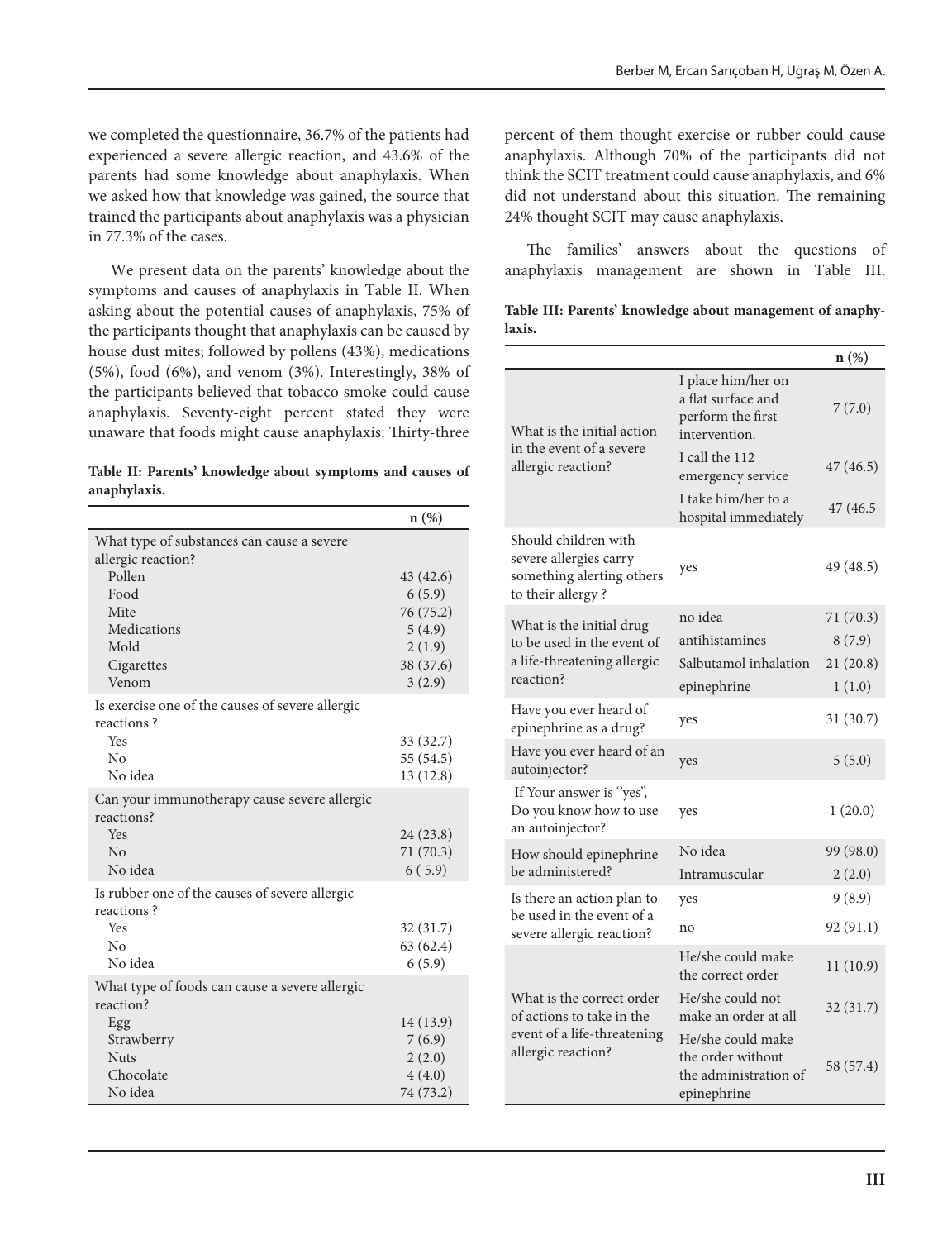we completed the questionnaire, 36.7% of the patients had experienced a severe allergic reaction, and 43.6% of the parents had some knowledge about anaphylaxis. When we asked how that knowledge was gained, the source that trained the participants about anaphylaxis was a physician in 77.3% of the cases.

We present data on the parents' knowledge about the symptoms and causes of anaphylaxis in Table II. When asking about the potential causes of anaphylaxis, 75% of the participants thought that anaphylaxis can be caused by house dust mites; followed by pollens (43%), medications (5%), food (6%), and venom (3%). Interestingly, 38% of the participants believed that tobacco smoke could cause anaphylaxis. Seventy-eight percent stated they were unaware that foods might cause anaphylaxis. Thirty-three

| Table II: Parents' knowledge about symptoms and causes of |  |  |  |
|-----------------------------------------------------------|--|--|--|
| anaphylaxis.                                              |  |  |  |

|                                                                      | $n(\%)$                                                                     |
|----------------------------------------------------------------------|-----------------------------------------------------------------------------|
| What type of substances can cause a severe<br>allergic reaction?     |                                                                             |
| Pollen<br>Food<br>Mite<br>Medications<br>Mold<br>Cigarettes<br>Venom | 43 (42.6)<br>6(5.9)<br>76 (75.2)<br>5(4.9)<br>2(1.9)<br>38 (37.6)<br>3(2.9) |
| Is exercise one of the causes of severe allergic<br>reactions?       |                                                                             |
| Yes<br>No<br>No idea                                                 | 33 (32.7)<br>55 (54.5)<br>13(12.8)                                          |
| Can your immunotherapy cause severe allergic<br>reactions?           |                                                                             |
| Yes<br>$\overline{N}$<br>No idea                                     | 24 (23.8)<br>71 (70.3)<br>6(5.9)                                            |
| Is rubber one of the causes of severe allergic<br>reactions?         |                                                                             |
| Yes<br>No<br>No idea                                                 | 32 (31.7)<br>63 (62.4)<br>6(5.9)                                            |
| What type of foods can cause a severe allergic<br>reaction?          |                                                                             |
| Egg<br>Strawberry<br><b>Nuts</b><br>Chocolate<br>No idea             | 14 (13.9)<br>7(6.9)<br>2(2.0)<br>4(4.0)<br>74 (73.2)                        |

percent of them thought exercise or rubber could cause anaphylaxis. Although 70% of the participants did not think the SCIT treatment could cause anaphylaxis, and 6% did not understand about this situation. The remaining 24% thought SCIT may cause anaphylaxis.

The families' answers about the questions of anaphylaxis management are shown in Table III.

|        |  |  | Table III: Parents' knowledge about management of anaphy- |  |
|--------|--|--|-----------------------------------------------------------|--|
| laxis. |  |  |                                                           |  |

|                                                                                                             |                                                                                | $n(\%)$   |
|-------------------------------------------------------------------------------------------------------------|--------------------------------------------------------------------------------|-----------|
| What is the initial action<br>in the event of a severe<br>allergic reaction?                                | I place him/her on<br>a flat surface and<br>perform the first<br>intervention. | 7(7.0)    |
|                                                                                                             | I call the 112<br>emergency service                                            | 47 (46.5) |
|                                                                                                             | I take him/her to a<br>hospital immediately                                    | 47 (46.5  |
| Should children with<br>severe allergies carry<br>something alerting others<br>to their allergy?            | yes                                                                            | 49 (48.5) |
| What is the initial drug                                                                                    | no idea                                                                        | 71(70.3)  |
| to be used in the event of                                                                                  | antihistamines                                                                 | 8(7.9)    |
| a life-threatening allergic<br>reaction?                                                                    | Salbutamol inhalation                                                          | 21(20.8)  |
|                                                                                                             | epinephrine                                                                    | 1(1.0)    |
| Have you ever heard of<br>epinephrine as a drug?                                                            | yes                                                                            | 31(30.7)  |
| Have you ever heard of an<br>autoinjector?                                                                  | yes                                                                            | 5(5.0)    |
| If Your answer is "yes",<br>Do you know how to use<br>an autoinjector?                                      | yes                                                                            | 1(20.0)   |
| How should epinephrine                                                                                      | No idea                                                                        | 99 (98.0) |
| be administered?                                                                                            | Intramuscular                                                                  | 2(2.0)    |
| Is there an action plan to                                                                                  | yes                                                                            | 9(8.9)    |
| be used in the event of a<br>severe allergic reaction?                                                      | no                                                                             | 92 (91.1) |
|                                                                                                             | He/she could make<br>the correct order                                         | 11(10.9)  |
| What is the correct order<br>of actions to take in the<br>event of a life-threatening<br>allergic reaction? | He/she could not<br>make an order at all                                       | 32(31.7)  |
|                                                                                                             | He/she could make<br>the order without<br>the administration of<br>epinephrine | 58 (57.4) |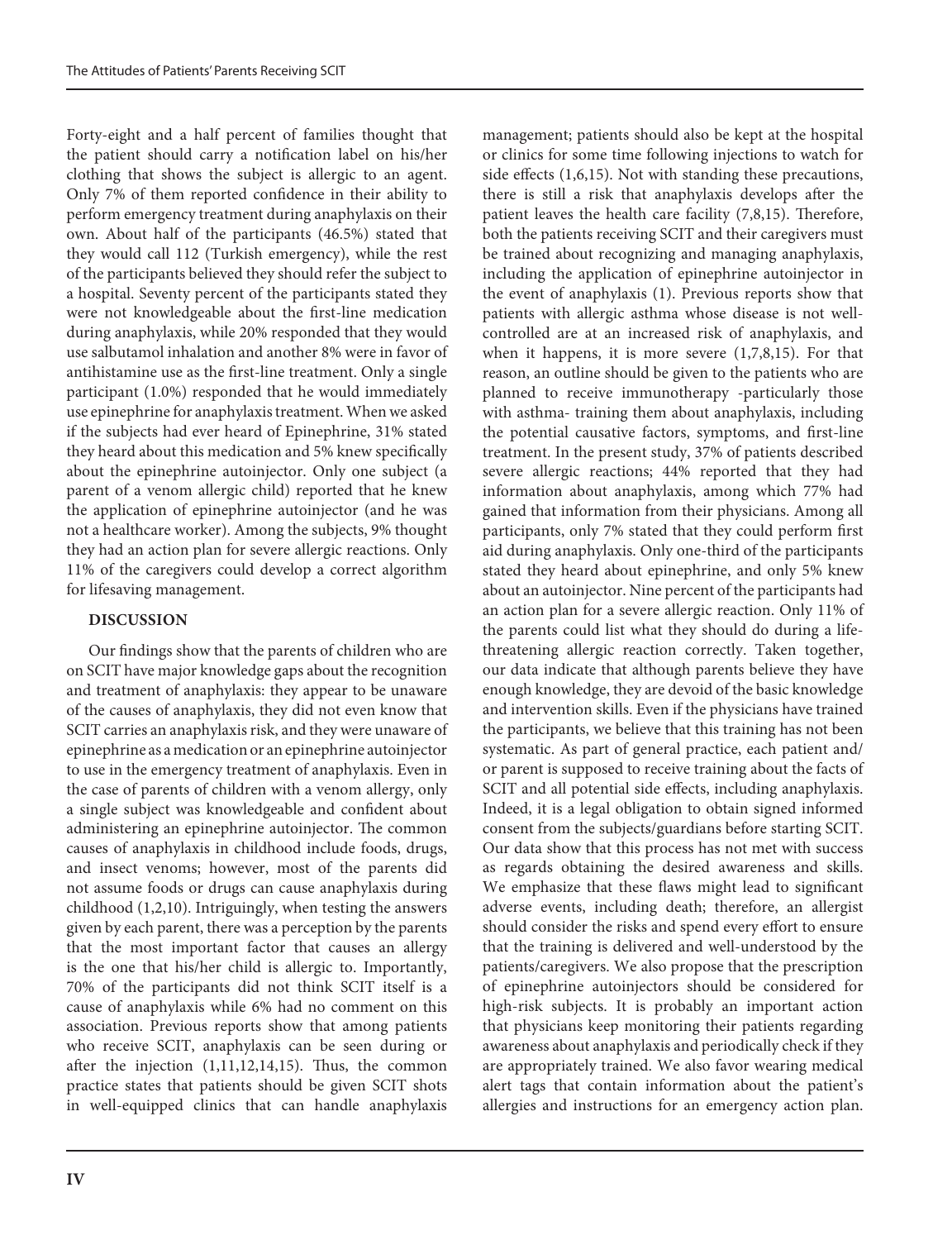Forty-eight and a half percent of families thought that the patient should carry a notification label on his/her clothing that shows the subject is allergic to an agent. Only 7% of them reported confidence in their ability to perform emergency treatment during anaphylaxis on their own. About half of the participants (46.5%) stated that they would call 112 (Turkish emergency), while the rest of the participants believed they should refer the subject to a hospital. Seventy percent of the participants stated they were not knowledgeable about the first-line medication during anaphylaxis, while 20% responded that they would use salbutamol inhalation and another 8% were in favor of antihistamine use as the first-line treatment. Only a single participant (1.0%) responded that he would immediately use epinephrine for anaphylaxis treatment. When we asked if the subjects had ever heard of Epinephrine, 31% stated they heard about this medication and 5% knew specifically about the epinephrine autoinjector. Only one subject (a parent of a venom allergic child) reported that he knew the application of epinephrine autoinjector (and he was not a healthcare worker). Among the subjects, 9% thought they had an action plan for severe allergic reactions. Only 11% of the caregivers could develop a correct algorithm for lifesaving management.

# **DISCUSSION**

Our findings show that the parents of children who are on SCIT have major knowledge gaps about the recognition and treatment of anaphylaxis: they appear to be unaware of the causes of anaphylaxis, they did not even know that SCIT carries an anaphylaxis risk, and they were unaware of epinephrine as a medication or an epinephrine autoinjector to use in the emergency treatment of anaphylaxis. Even in the case of parents of children with a venom allergy, only a single subject was knowledgeable and confident about administering an epinephrine autoinjector. The common causes of anaphylaxis in childhood include foods, drugs, and insect venoms; however, most of the parents did not assume foods or drugs can cause anaphylaxis during childhood (1,2,10). Intriguingly, when testing the answers given by each parent, there was a perception by the parents that the most important factor that causes an allergy is the one that his/her child is allergic to. Importantly, 70% of the participants did not think SCIT itself is a cause of anaphylaxis while 6% had no comment on this association. Previous reports show that among patients who receive SCIT, anaphylaxis can be seen during or after the injection (1,11,12,14,15). Thus, the common practice states that patients should be given SCIT shots in well-equipped clinics that can handle anaphylaxis management; patients should also be kept at the hospital or clinics for some time following injections to watch for side effects (1,6,15). Not with standing these precautions, there is still a risk that anaphylaxis develops after the patient leaves the health care facility (7,8,15). Therefore, both the patients receiving SCIT and their caregivers must be trained about recognizing and managing anaphylaxis, including the application of epinephrine autoinjector in the event of anaphylaxis (1). Previous reports show that patients with allergic asthma whose disease is not wellcontrolled are at an increased risk of anaphylaxis, and when it happens, it is more severe  $(1,7,8,15)$ . For that reason, an outline should be given to the patients who are planned to receive immunotherapy -particularly those with asthma- training them about anaphylaxis, including the potential causative factors, symptoms, and first-line treatment. In the present study, 37% of patients described severe allergic reactions; 44% reported that they had information about anaphylaxis, among which 77% had gained that information from their physicians. Among all participants, only 7% stated that they could perform first aid during anaphylaxis. Only one-third of the participants stated they heard about epinephrine, and only 5% knew about an autoinjector. Nine percent of the participants had an action plan for a severe allergic reaction. Only 11% of the parents could list what they should do during a lifethreatening allergic reaction correctly. Taken together, our data indicate that although parents believe they have enough knowledge, they are devoid of the basic knowledge and intervention skills. Even if the physicians have trained the participants, we believe that this training has not been systematic. As part of general practice, each patient and/ or parent is supposed to receive training about the facts of SCIT and all potential side effects, including anaphylaxis. Indeed, it is a legal obligation to obtain signed informed consent from the subjects/guardians before starting SCIT. Our data show that this process has not met with success as regards obtaining the desired awareness and skills. We emphasize that these flaws might lead to significant adverse events, including death; therefore, an allergist should consider the risks and spend every effort to ensure that the training is delivered and well-understood by the patients/caregivers. We also propose that the prescription of epinephrine autoinjectors should be considered for high-risk subjects. It is probably an important action that physicians keep monitoring their patients regarding awareness about anaphylaxis and periodically check if they are appropriately trained. We also favor wearing medical alert tags that contain information about the patient's allergies and instructions for an emergency action plan.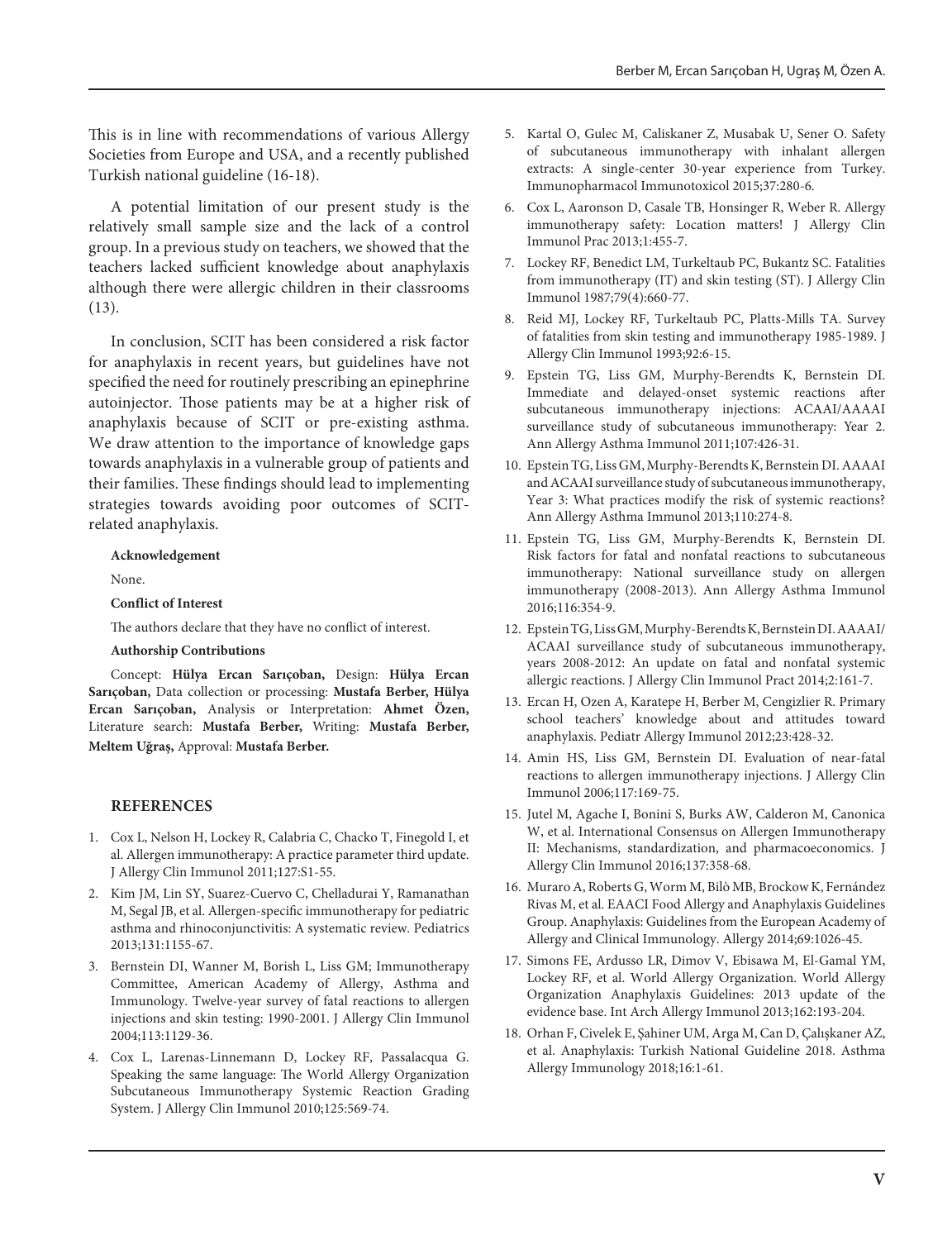This is in line with recommendations of various Allergy Societies from Europe and USA, and a recently published Turkish national guideline (16-18).

A potential limitation of our present study is the relatively small sample size and the lack of a control group. In a previous study on teachers, we showed that the teachers lacked sufficient knowledge about anaphylaxis although there were allergic children in their classrooms (13).

In conclusion, SCIT has been considered a risk factor for anaphylaxis in recent years, but guidelines have not specified the need for routinely prescribing an epinephrine autoinjector. Those patients may be at a higher risk of anaphylaxis because of SCIT or pre-existing asthma. We draw attention to the importance of knowledge gaps towards anaphylaxis in a vulnerable group of patients and their families. These findings should lead to implementing strategies towards avoiding poor outcomes of SCITrelated anaphylaxis.

#### **Acknowledgement**

None.

**Conflict of Interest**

The authors declare that they have no conflict of interest.

#### **Authorship Contributions**

Concept: **Hülya Ercan Sarıçoban,** Design: **Hülya Ercan Sarıçoban,** Data collection or processing: **Mustafa Berber, Hülya Ercan Sarıçoban,** Analysis or Interpretation: **Ahmet Özen,** Literature search: **Mustafa Berber,** Writing: **Mustafa Berber, Meltem Uğraş,** Approval: **Mustafa Berber.**

#### **REFERENCES**

- 1. Cox L, Nelson H, Lockey R, Calabria C, Chacko T, Finegold I, et al. Allergen immunotherapy: A practice parameter third update. J Allergy Clin Immunol 2011;127:S1-55.
- 2. Kim JM, Lin SY, Suarez-Cuervo C, Chelladurai Y, Ramanathan M, Segal JB, et al. Allergen-specific immunotherapy for pediatric asthma and rhinoconjunctivitis: A systematic review. Pediatrics 2013;131:1155-67.
- 3. Bernstein DI, Wanner M, Borish L, Liss GM; Immunotherapy Committee, American Academy of Allergy, Asthma and Immunology. Twelve-year survey of fatal reactions to allergen injections and skin testing: 1990-2001. J Allergy Clin Immunol 2004;113:1129-36.
- 4. Cox L, Larenas-Linnemann D, Lockey RF, Passalacqua G. Speaking the same language: The World Allergy Organization Subcutaneous Immunotherapy Systemic Reaction Grading System. J Allergy Clin Immunol 2010;125:569-74.
- 5. Kartal O, Gulec M, Caliskaner Z, Musabak U, Sener O. Safety of subcutaneous immunotherapy with inhalant allergen extracts: A single-center 30-year experience from Turkey. Immunopharmacol Immunotoxicol 2015;37:280-6.
- 6. Cox L, Aaronson D, Casale TB, Honsinger R, Weber R. Allergy immunotherapy safety: Location matters! J Allergy Clin Immunol Prac 2013;1:455-7.
- 7. Lockey RF, Benedict LM, Turkeltaub PC, Bukantz SC. Fatalities from immunotherapy (IT) and skin testing (ST). J Allergy Clin Immunol 1987;79(4):660-77.
- 8. Reid MJ, Lockey RF, Turkeltaub PC, Platts-Mills TA. Survey of fatalities from skin testing and immunotherapy 1985-1989. J Allergy Clin Immunol 1993;92:6-15.
- 9. Epstein TG, Liss GM, Murphy-Berendts K, Bernstein DI. Immediate and delayed-onset systemic reactions after subcutaneous immunotherapy injections: ACAAI/AAAAI surveillance study of subcutaneous immunotherapy: Year 2. Ann Allergy Asthma Immunol 2011;107:426-31.
- 10. Epstein TG, Liss GM, Murphy-Berendts K, Bernstein DI. AAAAI and ACAAI surveillance study of subcutaneous immunotherapy, Year 3: What practices modify the risk of systemic reactions? Ann Allergy Asthma Immunol 2013;110:274-8.
- 11. Epstein TG, Liss GM, Murphy-Berendts K, Bernstein DI. Risk factors for fatal and nonfatal reactions to subcutaneous immunotherapy: National surveillance study on allergen immunotherapy (2008-2013). Ann Allergy Asthma Immunol 2016;116:354-9.
- 12. Epstein TG, Liss GM, Murphy-Berendts K, Bernstein DI. AAAAI/ ACAAI surveillance study of subcutaneous immunotherapy, years 2008-2012: An update on fatal and nonfatal systemic allergic reactions. J Allergy Clin Immunol Pract 2014;2:161-7.
- 13. Ercan H, Ozen A, Karatepe H, Berber M, Cengizlier R. Primary school teachers' knowledge about and attitudes toward anaphylaxis. Pediatr Allergy Immunol 2012;23:428-32.
- 14. Amin HS, Liss GM, Bernstein DI. Evaluation of near-fatal reactions to allergen immunotherapy injections. J Allergy Clin Immunol 2006;117:169-75.
- 15. Jutel M, Agache I, Bonini S, Burks AW, Calderon M, Canonica W, et al. International Consensus on Allergen Immunotherapy II: Mechanisms, standardization, and pharmacoeconomics. J Allergy Clin Immunol 2016;137:358-68.
- 16. Muraro A, Roberts G, Worm M, Bilò MB, Brockow K, Fernández Rivas M, et al. EAACI Food Allergy and Anaphylaxis Guidelines Group. Anaphylaxis: Guidelines from the European Academy of Allergy and Clinical Immunology. Allergy 2014;69:1026-45.
- 17. Simons FE, Ardusso LR, Dimov V, Ebisawa M, El-Gamal YM, Lockey RF, et al. World Allergy Organization. World Allergy Organization Anaphylaxis Guidelines: 2013 update of the evidence base. Int Arch Allergy Immunol 2013;162:193-204.
- 18. Orhan F, Civelek E, Şahiner UM, Arga M, Can D, Çalışkaner AZ, et al. Anaphylaxis: Turkish National Guideline 2018. Asthma Allergy Immunology 2018;16:1-61.